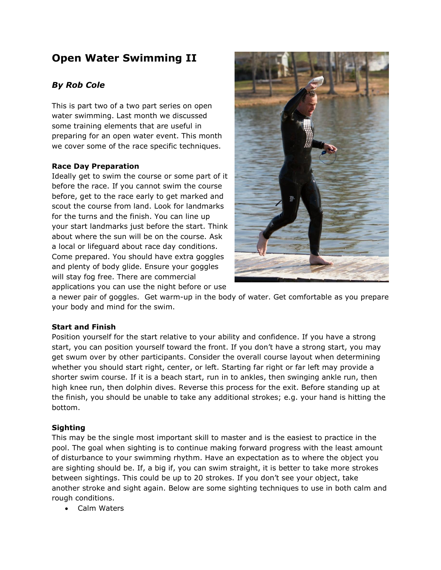# **Open Water Swimming II**

# *By Rob Cole*

This is part two of a two part series on open water swimming. Last month we discussed some training elements that are useful in preparing for an open water event. This month we cover some of the race specific techniques.

# **Race Day Preparation**

Ideally get to swim the course or some part of it before the race. If you cannot swim the course before, get to the race early to get marked and scout the course from land. Look for landmarks for the turns and the finish. You can line up your start landmarks just before the start. Think about where the sun will be on the course. Ask a local or lifeguard about race day conditions. Come prepared. You should have extra goggles and plenty of body glide. Ensure your goggles will stay fog free. There are commercial applications you can use the night before or use



a newer pair of goggles. Get warm-up in the body of water. Get comfortable as you prepare your body and mind for the swim.

# **Start and Finish**

Position yourself for the start relative to your ability and confidence. If you have a strong start, you can position yourself toward the front. If you don't have a strong start, you may get swum over by other participants. Consider the overall course layout when determining whether you should start right, center, or left. Starting far right or far left may provide a shorter swim course. If it is a beach start, run in to ankles, then swinging ankle run, then high knee run, then dolphin dives. Reverse this process for the exit. Before standing up at the finish, you should be unable to take any additional strokes; e.g. your hand is hitting the bottom.

# **Sighting**

This may be the single most important skill to master and is the easiest to practice in the pool. The goal when sighting is to continue making forward progress with the least amount of disturbance to your swimming rhythm. Have an expectation as to where the object you are sighting should be. If, a big if, you can swim straight, it is better to take more strokes between sightings. This could be up to 20 strokes. If you don't see your object, take another stroke and sight again. Below are some sighting techniques to use in both calm and rough conditions.

Calm Waters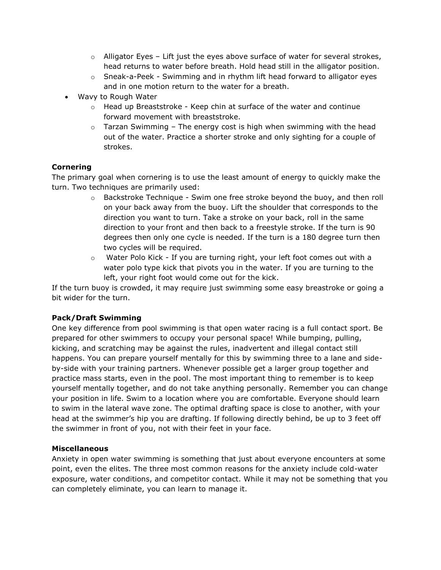- $\circ$  Alligator Eyes Lift just the eyes above surface of water for several strokes, head returns to water before breath. Hold head still in the alligator position.
- $\circ$  Sneak-a-Peek Swimming and in rhythm lift head forward to alligator eyes and in one motion return to the water for a breath.
- Wavy to Rough Water
	- $\circ$  Head up Breaststroke Keep chin at surface of the water and continue forward movement with breaststroke.
	- $\circ$  Tarzan Swimming The energy cost is high when swimming with the head out of the water. Practice a shorter stroke and only sighting for a couple of strokes.

# **Cornering**

The primary goal when cornering is to use the least amount of energy to quickly make the turn. Two techniques are primarily used:

- $\circ$  Backstroke Technique Swim one free stroke beyond the buoy, and then roll on your back away from the buoy. Lift the shoulder that corresponds to the direction you want to turn. Take a stroke on your back, roll in the same direction to your front and then back to a freestyle stroke. If the turn is 90 degrees then only one cycle is needed. If the turn is a 180 degree turn then two cycles will be required.
- $\circ$  Water Polo Kick If you are turning right, your left foot comes out with a water polo type kick that pivots you in the water. If you are turning to the left, your right foot would come out for the kick.

If the turn buoy is crowded, it may require just swimming some easy breastroke or going a bit wider for the turn.

# **Pack/Draft Swimming**

One key difference from pool swimming is that open water racing is a full contact sport. Be prepared for other swimmers to occupy your personal space! While bumping, pulling, kicking, and scratching may be against the rules, inadvertent and illegal contact still happens. You can prepare yourself mentally for this by swimming three to a lane and sideby-side with your training partners. Whenever possible get a larger group together and practice mass starts, even in the pool. The most important thing to remember is to keep yourself mentally together, and do not take anything personally. Remember you can change your position in life. Swim to a location where you are comfortable. Everyone should learn to swim in the lateral wave zone. The optimal drafting space is close to another, with your head at the swimmer's hip you are drafting. If following directly behind, be up to 3 feet off the swimmer in front of you, not with their feet in your face.

# **Miscellaneous**

Anxiety in open water swimming is something that just about everyone encounters at some point, even the elites. The three most common reasons for the anxiety include cold-water exposure, water conditions, and competitor contact. While it may not be something that you can completely eliminate, you can learn to manage it.